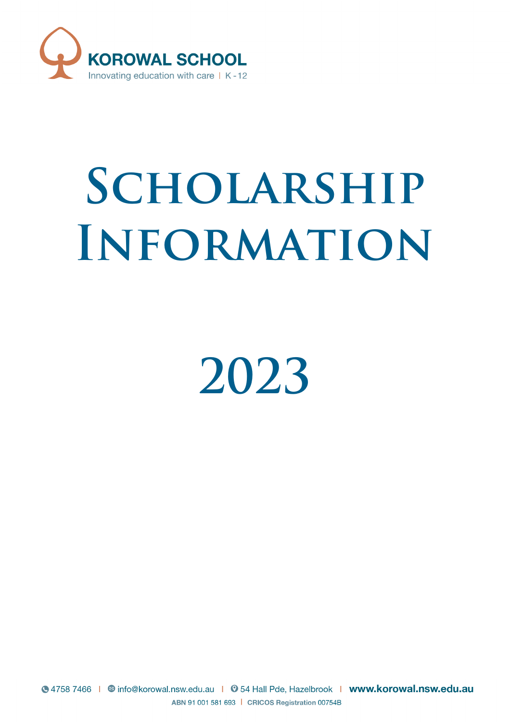

# **Scholarship Information**

**2023**

S 4758 7466 | © info@korowal.nsw.edu.au | ⊙ 54 Hall Pde, Hazelbrook | www.korowal.nsw.edu.au ABN 91 001 581 693 | CRICOS Registration 00754B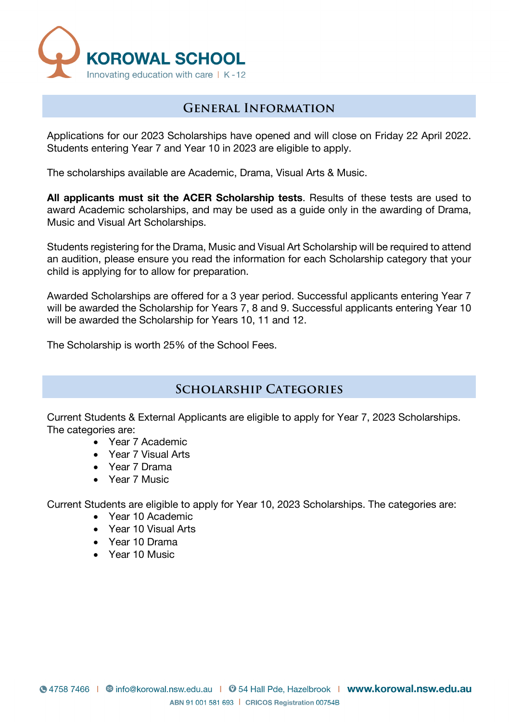

## **General Information**

Applications for our 2023 Scholarships have opened and will close on Friday 22 April 2022. Students entering Year 7 and Year 10 in 2023 are eligible to apply.

The scholarships available are Academic, Drama, Visual Arts & Music.

**All applicants must sit the ACER Scholarship tests**. Results of these tests are used to award Academic scholarships, and may be used as a guide only in the awarding of Drama, Music and Visual Art Scholarships.

Students registering for the Drama, Music and Visual Art Scholarship will be required to attend an audition, please ensure you read the information for each Scholarship category that your child is applying for to allow for preparation.

Awarded Scholarships are offered for a 3 year period. Successful applicants entering Year 7 will be awarded the Scholarship for Years 7, 8 and 9. Successful applicants entering Year 10 will be awarded the Scholarship for Years 10, 11 and 12.

The Scholarship is worth 25% of the School Fees.

### **Scholarship Categories**

Current Students & External Applicants are eligible to apply for Year 7, 2023 Scholarships. The categories are:

- Year 7 Academic
- Year 7 Visual Arts
- Year 7 Drama
- Year 7 Music

Current Students are eligible to apply for Year 10, 2023 Scholarships. The categories are:

- Year 10 Academic
- Year 10 Visual Arts
- Year 10 Drama
- Year 10 Music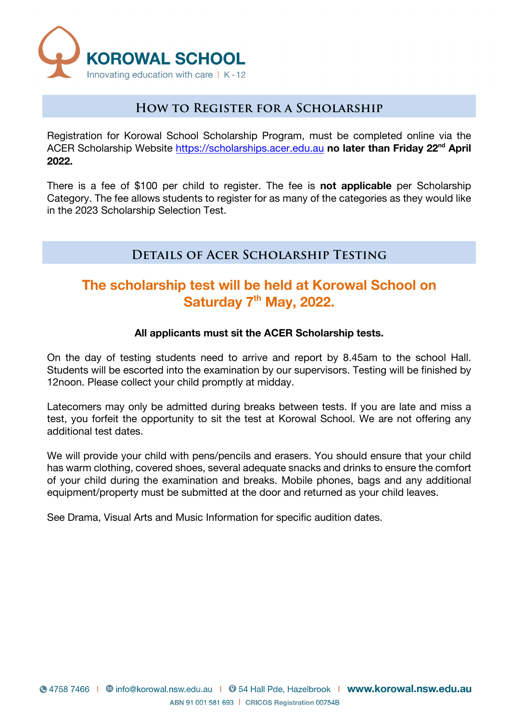

## **How to Register for a Scholarship**

Registration for Korowal School Scholarship Program, must be completed online via the ACER Scholarship Website https://scholarships.acer.edu.au **no later than Friday 22nd April 2022.** 

There is a fee of \$100 per child to register. The fee is **not applicable** per Scholarship Category. The fee allows students to register for as many of the categories as they would like in the 2023 Scholarship Selection Test.

# **Details of Acer Scholarship Testing**

# **The scholarship test will be held at Korowal School on Saturday 7th May, 2022.**

#### **All applicants must sit the ACER Scholarship tests.**

On the day of testing students need to arrive and report by 8.45am to the school Hall. Students will be escorted into the examination by our supervisors. Testing will be finished by 12noon. Please collect your child promptly at midday.

Latecomers may only be admitted during breaks between tests. If you are late and miss a test, you forfeit the opportunity to sit the test at Korowal School. We are not offering any additional test dates.

We will provide your child with pens/pencils and erasers. You should ensure that your child has warm clothing, covered shoes, several adequate snacks and drinks to ensure the comfort of your child during the examination and breaks. Mobile phones, bags and any additional equipment/property must be submitted at the door and returned as your child leaves.

See Drama, Visual Arts and Music Information for specific audition dates.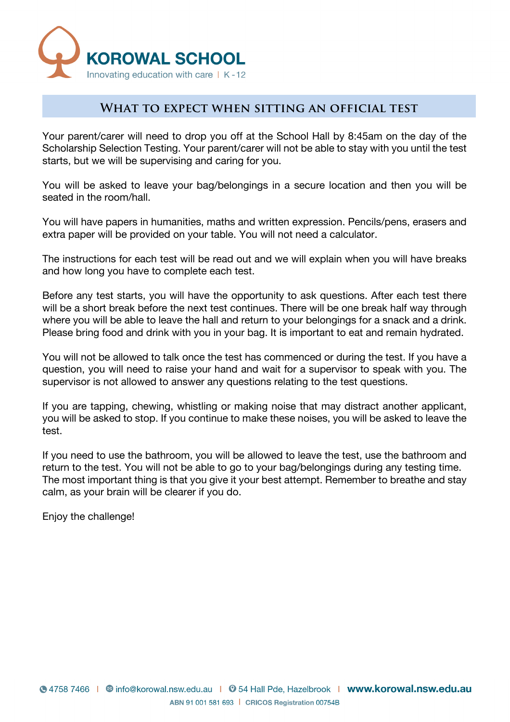

## **What to expect when sitting an official test**

Your parent/carer will need to drop you off at the School Hall by 8:45am on the day of the Scholarship Selection Testing. Your parent/carer will not be able to stay with you until the test starts, but we will be supervising and caring for you.

You will be asked to leave your bag/belongings in a secure location and then you will be seated in the room/hall.

You will have papers in humanities, maths and written expression. Pencils/pens, erasers and extra paper will be provided on your table. You will not need a calculator.

The instructions for each test will be read out and we will explain when you will have breaks and how long you have to complete each test.

Before any test starts, you will have the opportunity to ask questions. After each test there will be a short break before the next test continues. There will be one break half way through where you will be able to leave the hall and return to your belongings for a snack and a drink. Please bring food and drink with you in your bag. It is important to eat and remain hydrated.

You will not be allowed to talk once the test has commenced or during the test. If you have a question, you will need to raise your hand and wait for a supervisor to speak with you. The supervisor is not allowed to answer any questions relating to the test questions.

If you are tapping, chewing, whistling or making noise that may distract another applicant, you will be asked to stop. If you continue to make these noises, you will be asked to leave the test.

If you need to use the bathroom, you will be allowed to leave the test, use the bathroom and return to the test. You will not be able to go to your bag/belongings during any testing time. The most important thing is that you give it your best attempt. Remember to breathe and stay calm, as your brain will be clearer if you do.

Enjoy the challenge!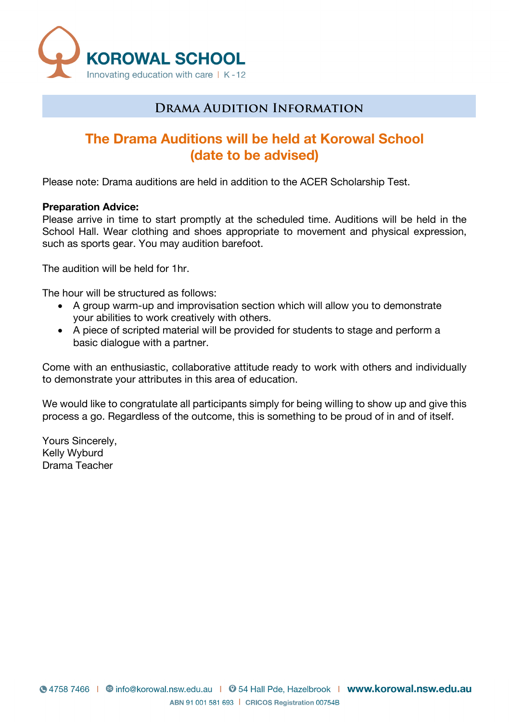

# **Drama Audition Information**

# **The Drama Auditions will be held at Korowal School (date to be advised)**

Please note: Drama auditions are held in addition to the ACER Scholarship Test.

#### **Preparation Advice:**

Please arrive in time to start promptly at the scheduled time. Auditions will be held in the School Hall. Wear clothing and shoes appropriate to movement and physical expression, such as sports gear. You may audition barefoot.

The audition will be held for 1hr.

The hour will be structured as follows:

- A group warm-up and improvisation section which will allow you to demonstrate your abilities to work creatively with others.
- A piece of scripted material will be provided for students to stage and perform a basic dialogue with a partner.

Come with an enthusiastic, collaborative attitude ready to work with others and individually to demonstrate your attributes in this area of education.

We would like to congratulate all participants simply for being willing to show up and give this process a go. Regardless of the outcome, this is something to be proud of in and of itself.

Yours Sincerely, Kelly Wyburd Drama Teacher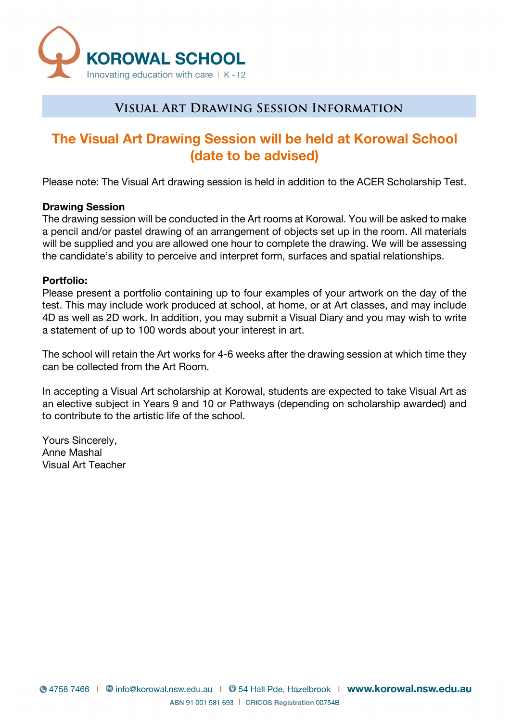

## **Visual Art Drawing Session Information**

# **The Visual Art Drawing Session will be held at Korowal School (date to be advised)**

Please note: The Visual Art drawing session is held in addition to the ACER Scholarship Test.

#### **Drawing Session**

The drawing session will be conducted in the Art rooms at Korowal. You will be asked to make a pencil and/or pastel drawing of an arrangement of objects set up in the room. All materials will be supplied and you are allowed one hour to complete the drawing. We will be assessing the candidate's ability to perceive and interpret form, surfaces and spatial relationships.

#### **Portfolio:**

Please present a portfolio containing up to four examples of your artwork on the day of the test. This may include work produced at school, at home, or at Art classes, and may include 4D as well as 2D work. In addition, you may submit a Visual Diary and you may wish to write a statement of up to 100 words about your interest in art.

The school will retain the Art works for 4-6 weeks after the drawing session at which time they can be collected from the Art Room.

In accepting a Visual Art scholarship at Korowal, students are expected to take Visual Art as an elective subject in Years 9 and 10 or Pathways (depending on scholarship awarded) and to contribute to the artistic life of the school.

Yours Sincerely, Anne Mashal Visual Art Teacher